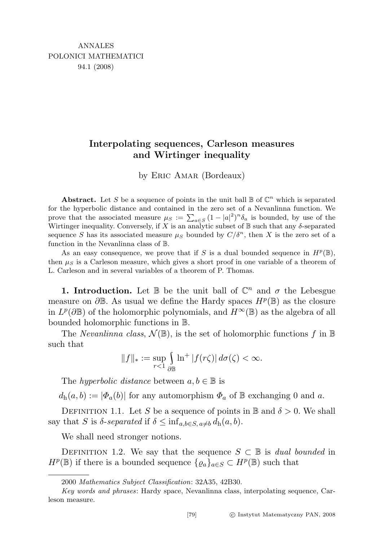## Interpolating sequences, Carleson measures and Wirtinger inequality

by Eric Amar (Bordeaux)

Abstract. Let S be a sequence of points in the unit ball  $\mathbb B$  of  $\mathbb C^n$  which is separated for the hyperbolic distance and contained in the zero set of a Nevanlinna function. We prove that the associated measure  $\mu_S := \sum_{a \in S} (1 - |a|^2)^n \delta_a$  is bounded, by use of the Wirtinger inequality. Conversely, if X is an analytic subset of  $\mathbb B$  such that any  $\delta$ -separated sequence S has its associated measure  $\mu_S$  bounded by  $C/\delta^n$ , then X is the zero set of a function in the Nevanlinna class of B.

As an easy consequence, we prove that if S is a dual bounded sequence in  $H^p(\mathbb{B})$ , then  $\mu_S$  is a Carleson measure, which gives a short proof in one variable of a theorem of L. Carleson and in several variables of a theorem of P. Thomas.

**1. Introduction.** Let  $\mathbb{B}$  be the unit ball of  $\mathbb{C}^n$  and  $\sigma$  the Lebesgue measure on  $\partial \mathbb{B}$ . As usual we define the Hardy spaces  $H^p(\mathbb{B})$  as the closure in  $L^p(\partial \mathbb{B})$  of the holomorphic polynomials, and  $H^{\infty}(\mathbb{B})$  as the algebra of all bounded holomorphic functions in B.

The *Nevanlinna class*,  $\mathcal{N}(\mathbb{B})$ , is the set of holomorphic functions f in  $\mathbb{B}$ such that

$$
||f||_*:=\sup_{r<1}\int\limits_{\partial\mathbb{B}}\ln^{+}|f(r\zeta)|\,d\sigma(\zeta)<\infty.
$$

The *hyperbolic distance* between  $a, b \in \mathbb{B}$  is

 $d_h(a, b) := |\Phi_a(b)|$  for any automorphism  $\Phi_a$  of  $\mathbb B$  exchanging 0 and a.

DEFINITION 1.1. Let S be a sequence of points in B and  $\delta > 0$ . We shall say that S is  $\delta$ -separated if  $\delta \leq \inf_{a,b \in S, a \neq b} d_h(a,b)$ .

We shall need stronger notions.

DEFINITION 1.2. We say that the sequence  $S \subset \mathbb{B}$  is dual bounded in  $H^p(\mathbb{B})$  if there is a bounded sequence  $\{ \varrho_a \}_{a \in S} \subset H^p(\mathbb{B})$  such that

<sup>2000</sup> Mathematics Subject Classification: 32A35, 42B30.

Key words and phrases: Hardy space, Nevanlinna class, interpolating sequence, Carleson measure.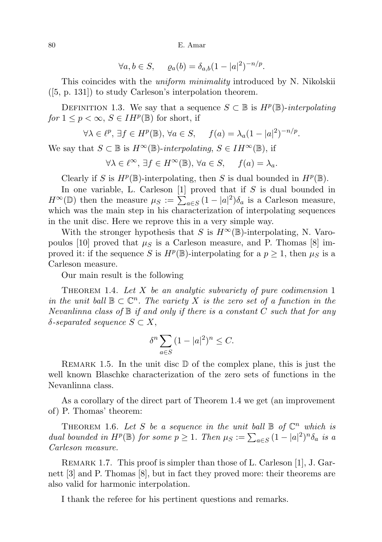80 E. Amar

$$
\forall a, b \in S, \qquad \varrho_a(b) = \delta_{a,b}(1 - |a|^2)^{-n/p}.
$$

This coincides with the *uniform minimality* introduced by N. Nikolskii ([5, p. 131]) to study Carleson's interpolation theorem.

DEFINITION 1.3. We say that a sequence  $S \subset \mathbb{B}$  is  $H^p(\mathbb{B})$ -interpolating  $for 1 \leq p < \infty, S \in IH^p(\mathbb{B})$  for short, if

$$
\forall \lambda \in \ell^p, \, \exists f \in H^p(\mathbb{B}), \, \forall a \in S, \quad f(a) = \lambda_a (1 - |a|^2)^{-n/p}.
$$

We say that  $S \subset \mathbb{B}$  is  $H^{\infty}(\mathbb{B})$ -interpolating,  $S \in IH^{\infty}(\mathbb{B})$ , if

$$
\forall \lambda \in \ell^{\infty}, \, \exists f \in H^{\infty}(\mathbb{B}), \, \forall a \in S, \quad f(a) = \lambda_a.
$$

Clearly if S is  $H^p(\mathbb{B})$ -interpolating, then S is dual bounded in  $H^p(\mathbb{B})$ .

In one variable, L. Carleson  $[1]$  proved that if S is dual bounded in  $H^{\infty}(\mathbb{D})$  then the measure  $\mu_S := \sum_{a \in S} (1 - |a|^2) \delta_a$  is a Carleson measure, which was the main step in his characterization of interpolating sequences in the unit disc. Here we reprove this in a very simple way.

With the stronger hypothesis that S is  $H^{\infty}(\mathbb{B})$ -interpolating, N. Varopoulos [10] proved that  $\mu_S$  is a Carleson measure, and P. Thomas [8] improved it: if the sequence S is  $H^p(\mathbb{B})$ -interpolating for a  $p \geq 1$ , then  $\mu_S$  is a Carleson measure.

Our main result is the following

THEOREM 1.4. Let  $X$  be an analytic subvariety of pure codimension 1 in the unit ball  $\mathbb{B} \subset \mathbb{C}^n$ . The variety X is the zero set of a function in the Nevanlinna class of  $\mathbb B$  if and only if there is a constant C such that for any  $\delta$ -separated sequence  $S \subset X$ ,

$$
\delta^n \sum_{a \in S} (1 - |a|^2)^n \le C.
$$

REMARK 1.5. In the unit disc  $\mathbb D$  of the complex plane, this is just the well known Blaschke characterization of the zero sets of functions in the Nevanlinna class.

As a corollary of the direct part of Theorem 1.4 we get (an improvement of) P. Thomas' theorem:

THEOREM 1.6. Let S be a sequence in the unit ball  $\mathbb B$  of  $\mathbb C^n$  which is dual bounded in  $H^p(\mathbb{B})$  for some  $p \geq 1$ . Then  $\mu_S := \sum_{a \in S} (1 - |a|^2)^n \delta_a$  is a Carleson measure.

REMARK 1.7. This proof is simpler than those of L. Carleson [1], J. Garnett [3] and P. Thomas [8], but in fact they proved more: their theorems are also valid for harmonic interpolation.

I thank the referee for his pertinent questions and remarks.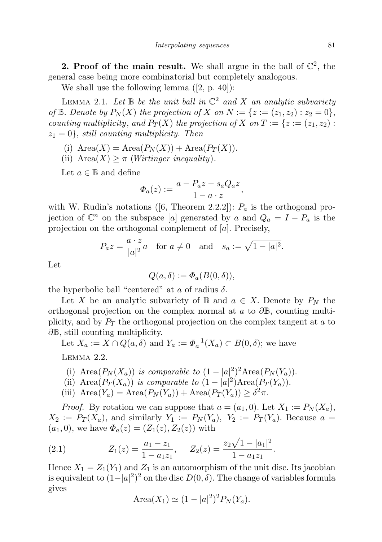2. Proof of the main result. We shall argue in the ball of  $\mathbb{C}^2$ , the general case being more combinatorial but completely analogous.

We shall use the following lemma ([2, p. 40]):

LEMMA 2.1. Let  $\mathbb B$  be the unit ball in  $\mathbb C^2$  and X an analytic subvariety of  $\mathbb B$ . Denote by  $P_N(X)$  the projection of X on  $N := \{z := (z_1, z_2) : z_2 = 0\},\$ counting multiplicity, and  $P_T(X)$  the projection of X on  $T := \{z := (z_1, z_2) :$  $z_1 = 0$ , still counting multiplicity. Then

- (i)  $Area(X) = Area(P_N(X)) + Area(P_T(X)).$
- (ii)  $Area(X) \geq \pi$  (*Wirtinger inequality*).

Let  $a \in \mathbb{B}$  and define

$$
\varPhi_a(z) := \frac{a - P_a z - s_a Q_a z}{1 - \overline{a} \cdot z},
$$

with W. Rudin's notations ([6, Theorem 2.2.2]):  $P_a$  is the orthogonal projection of  $\mathbb{C}^n$  on the subspace [a] generated by a and  $Q_a = I - P_a$  is the projection on the orthogonal complement of [a]. Precisely,

$$
P_a z = \frac{\overline{a} \cdot z}{|a|^2} a \quad \text{for } a \neq 0 \quad \text{and} \quad s_a := \sqrt{1 - |a|^2}.
$$

Let

$$
Q(a,\delta) := \Phi_a(B(0,\delta)),
$$

the hyperbolic ball "centered" at a of radius  $\delta$ .

Let X be an analytic subvariety of B and  $a \in X$ . Denote by  $P<sub>N</sub>$  the orthogonal projection on the complex normal at a to  $\partial \mathbb{B}$ , counting multiplicity, and by  $P_T$  the orthogonal projection on the complex tangent at a to ∂<sup>B</sup>, still counting multiplicity.

Let  $X_a := X \cap Q(a, \delta)$  and  $Y_a := \Phi_a^{-1}(X_a) \subset B(0, \delta)$ ; we have

Lemma 2.2.

- (i) Area $(P_N(X_a))$  is comparable to  $(1-|a|^2)^2$ Area $(P_N(Y_a))$ .
- (ii) Area $(P_T(X_a))$  is comparable to  $(1-|a|^2)$ Area $(P_T(Y_a))$ .
- (iii)  $Area(Y_a) = Area(P_N(Y_a)) + Area(P_T(Y_a)) \geq \delta^2 \pi$ .

*Proof.* By rotation we can suppose that  $a = (a_1, 0)$ . Let  $X_1 := P_N(X_a)$ ,  $X_2 := P_T(X_a)$ , and similarly  $Y_1 := P_N(Y_a)$ ,  $Y_2 := P_T(Y_a)$ . Because  $a =$  $(a_1, 0)$ , we have  $\Phi_a(z) = (Z_1(z), Z_2(z))$  with

(2.1) 
$$
Z_1(z) = \frac{a_1 - z_1}{1 - \overline{a}_1 z_1}, \quad Z_2(z) = \frac{z_2 \sqrt{1 - |a_1|^2}}{1 - \overline{a}_1 z_1}.
$$

Hence  $X_1 = Z_1(Y_1)$  and  $Z_1$  is an automorphism of the unit disc. Its jacobian is equivalent to  $(1-|a|^2)^2$  on the disc  $D(0, \delta)$ . The change of variables formula gives

Area
$$
(X_1) \simeq (1 - |a|^2)^2 P_N(Y_a).
$$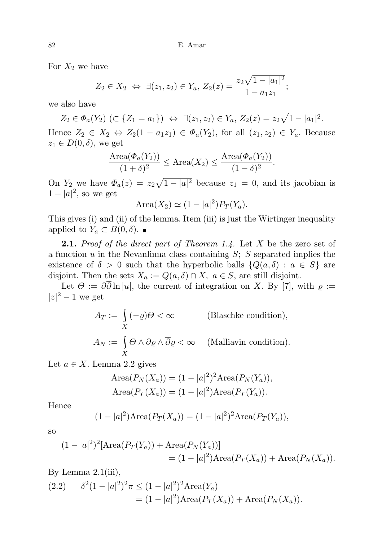For  $X_2$  we have

$$
Z_2 \in X_2 \Leftrightarrow \exists (z_1, z_2) \in Y_a, Z_2(z) = \frac{z_2 \sqrt{1 - |a_1|^2}}{1 - \overline{a}_1 z_1};
$$

we also have

 $Z_2 \in \Phi_a(Y_2) \ (\subset \{Z_1 = a_1\}) \ \Leftrightarrow \ \exists (z_1, z_2) \in Y_a, \ Z_2(z) = z_2 \sqrt{1 - |a_1|^2}.$ Hence  $Z_2 \in X_2 \Leftrightarrow Z_2(1 - a_1z_1) \in \Phi_a(Y_2)$ , for all  $(z_1, z_2) \in Y_a$ . Because  $z_1 \in D(0,\delta)$ , we get

$$
\frac{\text{Area}(\Phi_a(Y_2))}{(1+\delta)^2} \le \text{Area}(X_2) \le \frac{\text{Area}(\Phi_a(Y_2))}{(1-\delta)^2}.
$$

On  $Y_2$  we have  $\Phi_a(z) = z_2\sqrt{1-|a|^2}$  because  $z_1 = 0$ , and its jacobian is  $1-|a|^2$ , so we get

$$
\text{Area}(X_2) \simeq (1 - |a|^2) P_T(Y_a).
$$

This gives (i) and (ii) of the lemma. Item (iii) is just the Wirtinger inequality applied to  $Y_a \subset B(0,\delta)$ .

**2.1.** Proof of the direct part of Theorem 1.4. Let X be the zero set of a function  $u$  in the Nevanlinna class containing  $S$ ;  $S$  separated implies the existence of  $\delta > 0$  such that the hyperbolic balls  $\{Q(a, \delta) : a \in S\}$  are disjoint. Then the sets  $X_a := Q(a, \delta) \cap X, a \in S$ , are still disjoint.

Let  $\Theta := \partial \overline{\partial} \ln |u|$ , the current of integration on X. By [7], with  $\rho :=$  $|z|^2-1$  we get

$$
A_T := \int_X (-\varrho)\Theta < \infty \qquad \text{(Blaschke condition)},
$$
\n
$$
A_N := \int_X \Theta \wedge \partial \varrho \wedge \overline{\partial} \varrho < \infty \qquad \text{(Malliavin condition)}.
$$

Let  $a \in X$ . Lemma 2.2 gives

$$
\text{Area}(P_N(X_a)) = (1 - |a|^2)^2 \text{Area}(P_N(Y_a)),
$$
  

$$
\text{Area}(P_T(X_a)) = (1 - |a|^2) \text{Area}(P_T(Y_a)).
$$

Hence

$$
(1 - |a|^2) \text{Area}(P_T(X_a)) = (1 - |a|^2)^2 \text{Area}(P_T(Y_a)),
$$

so

$$
(1 - |a|^2)^2 [\text{Area}(P_T(Y_a)) + \text{Area}(P_N(Y_a))]
$$
  
=  $(1 - |a|^2) \text{Area}(P_T(X_a)) + \text{Area}(P_N(X_a)).$ 

By Lemma  $2.1(iii)$ ,

(2.2) 
$$
\delta^{2}(1-|a|^{2})^{2}\pi \leq (1-|a|^{2})^{2}\text{Area}(Y_{a})
$$

$$
= (1-|a|^{2})\text{Area}(P_{T}(X_{a})) + \text{Area}(P_{N}(X_{a})).
$$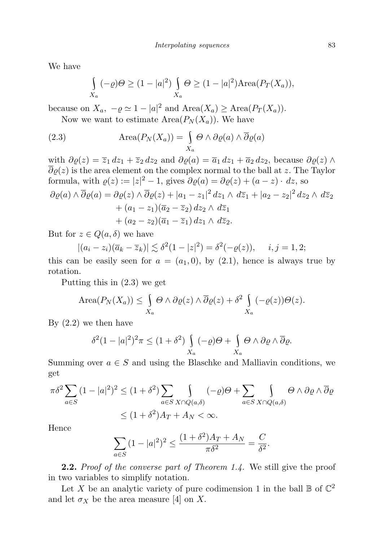We have

$$
\int_{X_a} (-\varrho)\Theta \ge (1-|a|^2) \int_{X_a} \Theta \ge (1-|a|^2) \text{Area}(P_T(X_a)),
$$

because on  $X_a$ ,  $-\varrho \simeq 1 - |a|^2$  and  $Area(X_a) \geq Area(P_T(X_a))$ .

Now we want to estimate  $Area(P_N(X_a))$ . We have

(2.3) 
$$
\text{Area}(P_N(X_a)) = \int_{X_a} \Theta \wedge \partial \varrho(a) \wedge \overline{\partial} \varrho(a)
$$

with  $\partial \varrho(z) = \overline{z}_1 dz_1 + \overline{z}_2 dz_2$  and  $\partial \varrho(z) = \overline{a}_1 dz_1 + \overline{a}_2 dz_2$ , because  $\partial \varrho(z) \wedge \overline{z}_2$  $\overline{\partial}\varrho(z)$  is the area element on the complex normal to the ball at z. The Taylor formula, with  $\varrho(z) := |z|^2 - 1$ , gives  $\partial \varrho(a) = \partial \varrho(z) + (a - z) \cdot dz$ , so  $\partial \varrho(a) \wedge \overline{\partial} \varrho(a) = \partial \varrho(z) \wedge \overline{\partial} \varrho(z) + |a_1 - z_1|^2 dz_1 \wedge d\overline{z}_1 + |a_2 - z_2|^2 dz_2 \wedge d\overline{z}_2$  $+(a_1-z_1)(\overline{a}_2-\overline{z}_2) dz_2 \wedge d\overline{z}_1$ 

$$
+\left(a_2-z_2\right)(\overline{a}_1-\overline{z}_1)\,dz_1\wedge\,d\overline{z}_2.
$$

But for  $z \in Q(a, \delta)$  we have

$$
|(a_i - z_i)(\overline{a}_k - \overline{z}_k)| \lesssim \delta^2 (1 - |z|^2) = \delta^2 (-\varrho(z)), \quad i, j = 1, 2;
$$

this can be easily seen for  $a = (a_1, 0)$ , by  $(2.1)$ , hence is always true by rotation.

Putting this in (2.3) we get

Area
$$
(P_N(X_a)) \le \int_{X_a} \Theta \wedge \partial \varrho(z) \wedge \overline{\partial} \varrho(z) + \delta^2 \int_{X_a} (-\varrho(z)) \Theta(z).
$$

By (2.2) we then have

$$
\delta^2 (1-|a|^2)^2 \pi \le (1+\delta^2) \int_{X_a} (-\varrho) \Theta + \int_{X_a} \Theta \wedge \partial \varrho \wedge \overline{\partial} \varrho.
$$

Summing over  $a \in S$  and using the Blaschke and Malliavin conditions, we get

$$
\pi \delta^2 \sum_{a \in S} (1 - |a|^2)^2 \le (1 + \delta^2) \sum_{a \in S} \int_{X \cap Q(a,\delta)} (-\varrho) \Theta + \sum_{a \in S} \int_{X \cap Q(a,\delta)} \Theta \wedge \partial \varrho \wedge \overline{\partial} \varrho
$$
  

$$
\le (1 + \delta^2) A_T + A_N < \infty.
$$

Hence

$$
\sum_{a \in S} (1 - |a|^2)^2 \le \frac{(1 + \delta^2)A_T + A_N}{\pi \delta^2} = \frac{C}{\delta^2}.
$$

**2.2.** Proof of the converse part of Theorem 1.4. We still give the proof in two variables to simplify notation.

Let X be an analytic variety of pure codimension 1 in the ball  $\mathbb B$  of  $\mathbb C^2$ and let  $\sigma_X$  be the area measure [4] on X.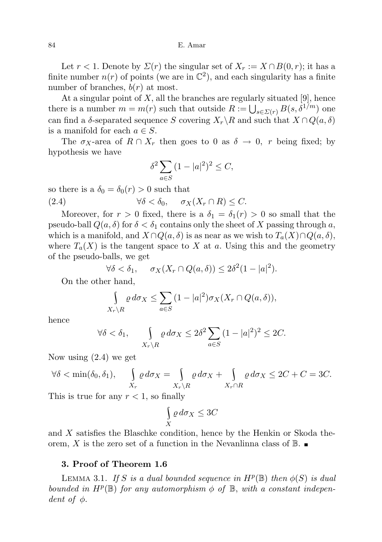Let  $r < 1$ . Denote by  $\Sigma(r)$  the singular set of  $X_r := X \cap B(0,r)$ ; it has a finite number  $n(r)$  of points (we are in  $\mathbb{C}^2$ ), and each singularity has a finite number of branches,  $b(r)$  at most.

At a singular point of  $X$ , all the branches are regularly situated [9], hence there is a number  $m = m(r)$  such that outside  $R := \bigcup_{s \in \Sigma(r)} B(s, \delta^{1/m})$  one can find a  $\delta$ -separated sequence S covering  $X_r\backslash R$  and such that  $X \cap Q(a, \delta)$ is a manifold for each  $a \in S$ .

The  $\sigma_X$ -area of  $R \cap X_r$  then goes to 0 as  $\delta \to 0$ , r being fixed; by hypothesis we have

$$
\delta^2 \sum_{a \in S} (1 - |a|^2)^2 \le C,
$$

so there is a  $\delta_0 = \delta_0(r) > 0$  such that

(2.4)  $\forall \delta < \delta_0, \quad \sigma_X(X_r \cap R) \leq C.$ 

Moreover, for  $r > 0$  fixed, there is a  $\delta_1 = \delta_1(r) > 0$  so small that the pseudo-ball  $Q(a, \delta)$  for  $\delta < \delta_1$  contains only the sheet of X passing through a, which is a manifold, and  $X \cap Q(a, \delta)$  is as near as we wish to  $T_a(X) \cap Q(a, \delta)$ , where  $T_a(X)$  is the tangent space to X at a. Using this and the geometry of the pseudo-balls, we get

$$
\forall \delta < \delta_1, \quad \sigma_X(X_r \cap Q(a, \delta)) \le 2\delta^2 (1 - |a|^2).
$$

On the other hand,

$$
\int_{X_r \setminus R} \varrho \, d\sigma_X \leq \sum_{a \in S} (1 - |a|^2) \sigma_X(X_r \cap Q(a, \delta)),
$$

hence

$$
\forall \delta < \delta_1, \qquad \int_{X_r \backslash R} \varrho \, d\sigma_X \le 2\delta^2 \sum_{a \in S} (1 - |a|^2)^2 \le 2C.
$$

Now using (2.4) we get

$$
\forall \delta < \min(\delta_0, \delta_1), \quad \int_{X_r} \varrho \, d\sigma_X = \int_{X_r \setminus R} \varrho \, d\sigma_X + \int_{X_r \cap R} \varrho \, d\sigma_X \le 2C + C = 3C.
$$

This is true for any  $r < 1$ , so finally

$$
\int\limits_X \varrho \, d\sigma_X \leq 3C
$$

and X satisfies the Blaschke condition, hence by the Henkin or Skoda theorem, X is the zero set of a function in the Nevanlinna class of  $\mathbb{B}$ .

## 3. Proof of Theorem 1.6

LEMMA 3.1. If S is a dual bounded sequence in  $H^p(\mathbb{B})$  then  $\phi(S)$  is dual bounded in  $H^p(\mathbb{B})$  for any automorphism  $\phi$  of  $\mathbb{B}$ , with a constant independent of  $\phi$ .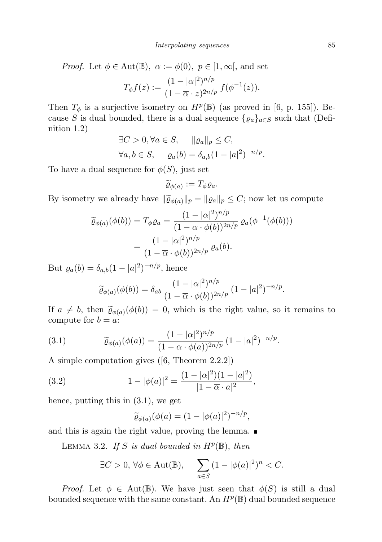*Proof.* Let  $\phi \in \text{Aut}(\mathbb{B})$ ,  $\alpha := \phi(0)$ ,  $p \in [1, \infty]$ , and set

$$
T_{\phi}f(z) := \frac{(1 - |\alpha|^2)^{n/p}}{(1 - \overline{\alpha} \cdot z)^{2n/p}} f(\phi^{-1}(z)).
$$

Then  $T_{\phi}$  is a surjective isometry on  $H^p(\mathbb{B})$  (as proved in [6, p. 155]). Because S is dual bounded, there is a dual sequence  $\{ \varrho_a \}_{a \in S}$  such that (Definition 1.2)

$$
\exists C > 0, \forall a \in S, \quad ||\varrho_a||_p \le C,
$$
  

$$
\forall a, b \in S, \quad \varrho_a(b) = \delta_{a,b}(1 - |a|^2)^{-n/p}
$$

.

To have a dual sequence for  $\phi(S)$ , just set

$$
\widetilde{\varrho}_{\phi(a)} := T_{\phi}\varrho_{a}.
$$

By isometry we already have  $\|\widetilde{\varrho}_{\phi(a)}\|_p = \| \varrho_a \|_p \leq C$ ; now let us compute

$$
\widetilde{\varrho}_{\phi(a)}(\phi(b)) = T_{\phi}\varrho_a = \frac{(1 - |\alpha|^2)^{n/p}}{(1 - \overline{\alpha} \cdot \phi(b))^{2n/p}} \varrho_a(\phi^{-1}(\phi(b)))
$$

$$
= \frac{(1 - |\alpha|^2)^{n/p}}{(1 - \overline{\alpha} \cdot \phi(b))^{2n/p}} \varrho_a(b).
$$

But  $\varrho_a(b) = \delta_{a,b}(1 - |a|^2)^{-n/p}$ , hence

$$
\widetilde{\varrho}_{\phi(a)}(\phi(b)) = \delta_{ab} \, \frac{(1 - |\alpha|^2)^{n/p}}{(1 - \overline{\alpha} \cdot \phi(b))^{2n/p}} \, (1 - |a|^2)^{-n/p}.
$$

If  $a \neq b$ , then  $\widetilde{\varrho}_{\phi(a)}(\phi(b)) = 0$ , which is the right value, so it remains to compute for  $b = c$ : compute for  $b = a$ :

(3.1) 
$$
\widetilde{\varrho}_{\phi(a)}(\phi(a)) = \frac{(1 - |\alpha|^2)^{n/p}}{(1 - \overline{\alpha} \cdot \phi(a))^{2n/p}} (1 - |a|^2)^{-n/p}.
$$

A simple computation gives ([6, Theorem 2.2.2])

(3.2) 
$$
1 - |\phi(a)|^2 = \frac{(1 - |\alpha|^2)(1 - |a|^2)}{|1 - \overline{\alpha} \cdot a|^2},
$$

hence, putting this in (3.1), we get

$$
\widetilde{\varrho}_{\phi(a)}(\phi(a)=(1-|\phi(a)|^2)^{-n/p},
$$

and this is again the right value, proving the lemma.

LEMMA 3.2. If S is dual bounded in  $H^p(\mathbb{B})$ , then

$$
\exists C > 0, \forall \phi \in \text{Aut}(\mathbb{B}), \quad \sum_{a \in S} (1 - |\phi(a)|^2)^n < C.
$$

*Proof.* Let  $\phi \in \text{Aut}(\mathbb{B})$ . We have just seen that  $\phi(S)$  is still a dual bounded sequence with the same constant. An  $H^p(\mathbb{B})$  dual bounded sequence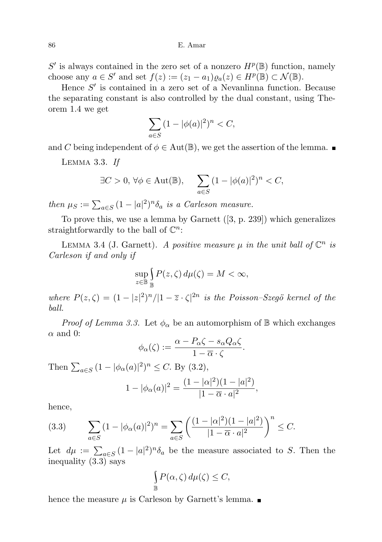$S'$  is always contained in the zero set of a nonzero  $H^p(\mathbb{B})$  function, namely choose any  $a \in S'$  and set  $f(z) := (z_1 - a_1) \varrho_a(z) \in H^p(\mathbb{B}) \subset \mathcal{N}(\mathbb{B})$ .

Hence  $S'$  is contained in a zero set of a Nevanlinna function. Because the separating constant is also controlled by the dual constant, using Theorem 1.4 we get

$$
\sum_{a\in S} (1 - |\phi(a)|^2)^n < C,
$$

and C being independent of  $\phi \in \text{Aut}(\mathbb{B})$ , we get the assertion of the lemma.

Lemma 3.3. If

$$
\exists C > 0, \forall \phi \in \text{Aut}(\mathbb{B}), \quad \sum_{a \in S} (1 - |\phi(a)|^2)^n < C,
$$

then  $\mu_S := \sum_{a \in S} (1 - |a|^2)^n \delta_a$  is a Carleson measure.

To prove this, we use a lemma by Garnett ([3, p. 239]) which generalizes straightforwardly to the ball of  $\mathbb{C}^n$ :

LEMMA 3.4 (J. Garnett). A positive measure  $\mu$  in the unit ball of  $\mathbb{C}^n$  is Carleson if and only if

$$
\sup_{z\in\mathbb{B}}\int_{\mathbb{B}}P(z,\zeta)\,d\mu(\zeta)=M<\infty,
$$

where  $P(z,\zeta) = (1-|z|^2)^n/|1-\overline{z}\cdot\zeta|^{2n}$  is the Poisson-Szegö kernel of the ball.

*Proof of Lemma 3.3.* Let  $\phi_{\alpha}$  be an automorphism of  $\mathbb{B}$  which exchanges  $\alpha$  and 0:

$$
\phi_{\alpha}(\zeta) := \frac{\alpha - P_{\alpha}\zeta - s_{\alpha}Q_{\alpha}\zeta}{1 - \overline{\alpha}\cdot\zeta}.
$$

Then  $\sum_{a \in S} (1 - |\phi_{\alpha}(a)|^2)^n \le C$ . By (3.2),

$$
1 - |\phi_{\alpha}(a)|^2 = \frac{(1 - |\alpha|^2)(1 - |a|^2)}{|1 - \overline{\alpha} \cdot a|^2},
$$

hence,

(3.3) 
$$
\sum_{a \in S} (1 - |\phi_{\alpha}(a)|^2)^n = \sum_{a \in S} \left( \frac{(1 - |\alpha|^2)(1 - |a|^2)}{|1 - \overline{\alpha} \cdot a|^2} \right)^n \le C.
$$

Let  $d\mu := \sum_{a \in S} (1 - |a|^2)^n \delta_a$  be the measure associated to S. Then the inequality (3.3) says

$$
\int_{\mathbb{B}} P(\alpha, \zeta) d\mu(\zeta) \leq C,
$$

hence the measure  $\mu$  is Carleson by Garnett's lemma.